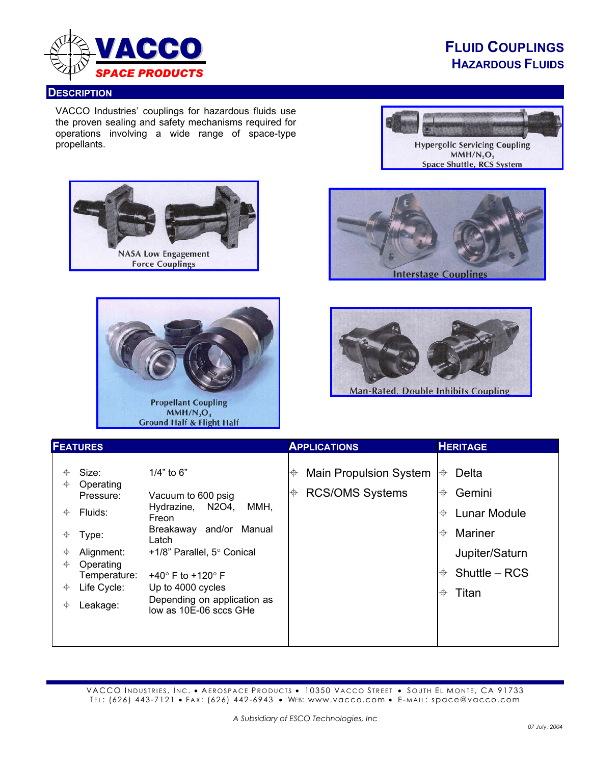

## **FLUID COUPLINGS HAZARDOUS FLUIDS**

## **DESCRIPTION**

VACCO Industries' couplings for hazardous fluids use the proven sealing and safety mechanisms required for operations involving a wide range of space-type propellants.











**Man-Rated, Double Inhibits Coupling** 

| <b>FEATURES</b>                                                                                                                                                                                                                                                                                                                                                                                                                                                      | <b>APPLICATIONS</b>                                               | <b>HERITAGE</b>                                                                                                                                   |
|----------------------------------------------------------------------------------------------------------------------------------------------------------------------------------------------------------------------------------------------------------------------------------------------------------------------------------------------------------------------------------------------------------------------------------------------------------------------|-------------------------------------------------------------------|---------------------------------------------------------------------------------------------------------------------------------------------------|
| $1/4$ " to 6"<br>Size:<br>Operating<br>⊕<br>Pressure:<br>Vacuum to 600 psig<br>N2O4,<br>MMH,<br>Hydrazine,<br>Fluids:<br>♦<br>Freon<br>and/or Manual<br>Breakaway<br>Type:<br>⊕<br>Latch<br>Alignment:<br>⊕<br>+1/8" Parallel, 5° Conical<br>Operating<br>♦<br>Temperature:<br>+40 $\degree$ F to +120 $\degree$ F<br>Life Cycle:<br>Up to 4000 cycles<br>♦<br>Depending on application as<br>Leakage:<br>$\color{red} \color{black} \Phi$<br>low as 10E-06 sccs GHe | <b>Main Propulsion System</b><br>⊕<br><b>RCS/OMS Systems</b><br>⊕ | Delta<br>⊕<br>Gemini<br>⊕<br><b>Lunar Module</b><br>⊕<br>Mariner<br>$\color{red} \bigoplus$<br>Jupiter/Saturn<br>Shuttle - RCS<br>⊕<br>Titan<br>⊕ |
|                                                                                                                                                                                                                                                                                                                                                                                                                                                                      |                                                                   |                                                                                                                                                   |